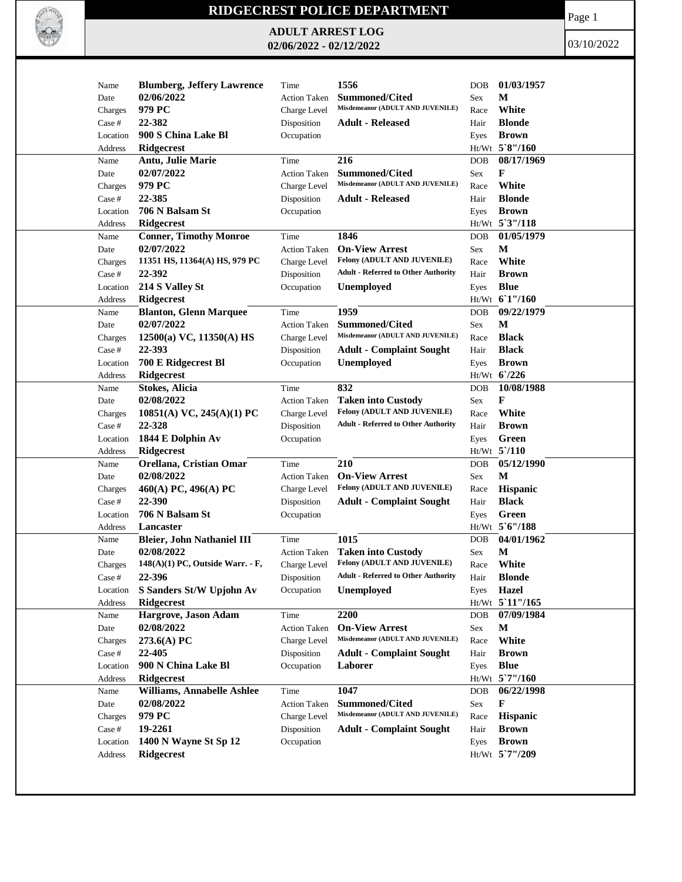

## **RIDGECREST POLICE DEPARTMENT**

**ADULT ARREST LOG 02/06/2022 - 02/12/2022**

Page 1

03/10/2022

| <b>Blumberg, Jeffery Lawrence</b><br>02/06/2022<br>Summoned/Cited<br>М<br>Date<br><b>Action Taken</b><br>Sex<br>Misdemeanor (ADULT AND JUVENILE)<br>White<br>979 PC<br>Charge Level<br>Race<br>Charges<br>22-382<br><b>Blonde</b><br>Case #<br>Disposition<br><b>Adult - Released</b><br>Hair<br>900 S China Lake Bl<br><b>Brown</b><br>Occupation<br>Location<br>Eyes<br>$Ht/Wt$ 5'8"/160<br>Ridgecrest<br>Address<br>216<br>08/17/1969<br>Antu, Julie Marie<br>Time<br>Name<br>DOB<br><b>Summoned/Cited</b><br>F<br>02/07/2022<br><b>Action Taken</b><br>Date<br>Sex<br>Misdemeanor (ADULT AND JUVENILE)<br>979 PC<br>White<br>Charge Level<br>Race<br>Charges<br>22-385<br><b>Blonde</b><br><b>Adult - Released</b><br>Case #<br>Disposition<br>Hair<br>706 N Balsam St<br><b>Brown</b><br>Location<br>Occupation<br>Eyes<br>Ht/Wt 5'3"/118<br><b>Ridgecrest</b><br>Address<br>1846<br>01/05/1979<br><b>Conner, Timothy Monroe</b><br>Name<br>Time<br><b>DOB</b><br>M<br>02/07/2022<br><b>On-View Arrest</b><br>Sex<br>Date<br><b>Action Taken</b><br>Felony (ADULT AND JUVENILE)<br>11351 HS, 11364(A) HS, 979 PC<br>White<br>Charge Level<br>Charges<br>Race<br><b>Adult - Referred to Other Authority</b><br>22-392<br><b>Brown</b><br>Case #<br>Disposition<br>Hair<br>214 S Valley St<br><b>Blue</b><br><b>Unemployed</b><br>Location<br>Occupation<br>Eyes<br>Ht/Wt 61"/160<br><b>Ridgecrest</b><br>Address<br>1959<br><b>Blanton, Glenn Marquee</b><br>09/22/1979<br>Time<br>Name<br><b>DOB</b><br>02/07/2022<br>M<br><b>Summoned/Cited</b><br>Date<br><b>Action Taken</b><br>Sex<br>Misdemeanor (ADULT AND JUVENILE)<br><b>Black</b><br>$12500(a)$ VC, $11350(A)$ HS<br>Charge Level<br>Race<br>Charges<br>22-393<br><b>Black</b><br>Case #<br>Disposition<br><b>Adult - Complaint Sought</b><br>Hair<br>700 E Ridgecrest Bl<br><b>Unemployed</b><br><b>Brown</b><br>Occupation<br>Location<br>Eyes<br>Ht/Wt 6'/226<br><b>Ridgecrest</b><br>Address<br>832<br>10/08/1988<br>Name<br><b>Stokes, Alicia</b><br>Time<br><b>DOB</b><br>02/08/2022<br>F<br><b>Taken into Custody</b><br>Date<br><b>Action Taken</b><br>Sex<br>Felony (ADULT AND JUVENILE)<br>White<br>10851(A) VC, 245(A)(1) PC<br>Charge Level<br>Race<br>Charges<br><b>Adult - Referred to Other Authority</b><br>22-328<br>Disposition<br><b>Brown</b><br>Case #<br>Hair<br>1844 E Dolphin Av<br>Green<br>Location<br>Occupation<br>Eyes<br>$Ht/Wt$ 5 $/110$<br><b>Ridgecrest</b><br>Address<br>05/12/1990<br>210<br>Name<br>Orellana, Cristian Omar<br><b>DOB</b><br>Time<br>$\mathbf M$<br>02/08/2022<br><b>On-View Arrest</b><br>Sex<br>Date<br><b>Action Taken</b><br>Felony (ADULT AND JUVENILE)<br>460(A) PC, 496(A) PC<br>Hispanic<br>Charge Level<br>Charges<br>Race<br>22-390<br><b>Black</b><br>Disposition<br><b>Adult - Complaint Sought</b><br>Case #<br>Hair<br>706 N Balsam St<br>Green<br>Location<br>Occupation<br>Eyes<br>Ht/Wt 5'6"/188<br>Address<br>Lancaster<br>04/01/1962<br><b>Bleier, John Nathaniel III</b><br>1015<br>Name<br>Time<br><b>DOB</b><br>$\mathbf M$<br>02/08/2022<br><b>Taken into Custody</b><br>Date<br><b>Action Taken</b><br>Sex<br>Felony (ADULT AND JUVENILE)<br>$148(A)(1)$ PC, Outside Warr. - F,<br>White<br>Charge Level<br>Charges<br>Race<br><b>Adult - Referred to Other Authority</b><br>22-396<br><b>Blonde</b><br>Case #<br>Disposition<br>Hair<br>S Sanders St/W Upjohn Av<br>Occupation<br>Unemployed<br>Eyes Hazel<br>Location<br><b>Ridgecrest</b><br>Ht/Wt 5 11"/165<br>Address<br>2200<br>Hargrove, Jason Adam<br>07/09/1984<br>Name<br>Time<br><b>DOB</b> |
|--------------------------------------------------------------------------------------------------------------------------------------------------------------------------------------------------------------------------------------------------------------------------------------------------------------------------------------------------------------------------------------------------------------------------------------------------------------------------------------------------------------------------------------------------------------------------------------------------------------------------------------------------------------------------------------------------------------------------------------------------------------------------------------------------------------------------------------------------------------------------------------------------------------------------------------------------------------------------------------------------------------------------------------------------------------------------------------------------------------------------------------------------------------------------------------------------------------------------------------------------------------------------------------------------------------------------------------------------------------------------------------------------------------------------------------------------------------------------------------------------------------------------------------------------------------------------------------------------------------------------------------------------------------------------------------------------------------------------------------------------------------------------------------------------------------------------------------------------------------------------------------------------------------------------------------------------------------------------------------------------------------------------------------------------------------------------------------------------------------------------------------------------------------------------------------------------------------------------------------------------------------------------------------------------------------------------------------------------------------------------------------------------------------------------------------------------------------------------------------------------------------------------------------------------------------------------------------------------------------------------------------------------------------------------------------------------------------------------------------------------------------------------------------------------------------------------------------------------------------------------------------------------------------------------------------------------------------------------------------------------------------------------------------------------------------------------------------------------------------------------------------------------------------------------------------------------------------------------------------------------------------------------------------------------------------------------------------------------------------------------------------------------------------------------------------------------------------------------------------------------------------------------------------------------------------------------------------------------|
|                                                                                                                                                                                                                                                                                                                                                                                                                                                                                                                                                                                                                                                                                                                                                                                                                                                                                                                                                                                                                                                                                                                                                                                                                                                                                                                                                                                                                                                                                                                                                                                                                                                                                                                                                                                                                                                                                                                                                                                                                                                                                                                                                                                                                                                                                                                                                                                                                                                                                                                                                                                                                                                                                                                                                                                                                                                                                                                                                                                                                                                                                                                                                                                                                                                                                                                                                                                                                                                                                                                                                                                                  |
|                                                                                                                                                                                                                                                                                                                                                                                                                                                                                                                                                                                                                                                                                                                                                                                                                                                                                                                                                                                                                                                                                                                                                                                                                                                                                                                                                                                                                                                                                                                                                                                                                                                                                                                                                                                                                                                                                                                                                                                                                                                                                                                                                                                                                                                                                                                                                                                                                                                                                                                                                                                                                                                                                                                                                                                                                                                                                                                                                                                                                                                                                                                                                                                                                                                                                                                                                                                                                                                                                                                                                                                                  |
|                                                                                                                                                                                                                                                                                                                                                                                                                                                                                                                                                                                                                                                                                                                                                                                                                                                                                                                                                                                                                                                                                                                                                                                                                                                                                                                                                                                                                                                                                                                                                                                                                                                                                                                                                                                                                                                                                                                                                                                                                                                                                                                                                                                                                                                                                                                                                                                                                                                                                                                                                                                                                                                                                                                                                                                                                                                                                                                                                                                                                                                                                                                                                                                                                                                                                                                                                                                                                                                                                                                                                                                                  |
|                                                                                                                                                                                                                                                                                                                                                                                                                                                                                                                                                                                                                                                                                                                                                                                                                                                                                                                                                                                                                                                                                                                                                                                                                                                                                                                                                                                                                                                                                                                                                                                                                                                                                                                                                                                                                                                                                                                                                                                                                                                                                                                                                                                                                                                                                                                                                                                                                                                                                                                                                                                                                                                                                                                                                                                                                                                                                                                                                                                                                                                                                                                                                                                                                                                                                                                                                                                                                                                                                                                                                                                                  |
|                                                                                                                                                                                                                                                                                                                                                                                                                                                                                                                                                                                                                                                                                                                                                                                                                                                                                                                                                                                                                                                                                                                                                                                                                                                                                                                                                                                                                                                                                                                                                                                                                                                                                                                                                                                                                                                                                                                                                                                                                                                                                                                                                                                                                                                                                                                                                                                                                                                                                                                                                                                                                                                                                                                                                                                                                                                                                                                                                                                                                                                                                                                                                                                                                                                                                                                                                                                                                                                                                                                                                                                                  |
|                                                                                                                                                                                                                                                                                                                                                                                                                                                                                                                                                                                                                                                                                                                                                                                                                                                                                                                                                                                                                                                                                                                                                                                                                                                                                                                                                                                                                                                                                                                                                                                                                                                                                                                                                                                                                                                                                                                                                                                                                                                                                                                                                                                                                                                                                                                                                                                                                                                                                                                                                                                                                                                                                                                                                                                                                                                                                                                                                                                                                                                                                                                                                                                                                                                                                                                                                                                                                                                                                                                                                                                                  |
|                                                                                                                                                                                                                                                                                                                                                                                                                                                                                                                                                                                                                                                                                                                                                                                                                                                                                                                                                                                                                                                                                                                                                                                                                                                                                                                                                                                                                                                                                                                                                                                                                                                                                                                                                                                                                                                                                                                                                                                                                                                                                                                                                                                                                                                                                                                                                                                                                                                                                                                                                                                                                                                                                                                                                                                                                                                                                                                                                                                                                                                                                                                                                                                                                                                                                                                                                                                                                                                                                                                                                                                                  |
|                                                                                                                                                                                                                                                                                                                                                                                                                                                                                                                                                                                                                                                                                                                                                                                                                                                                                                                                                                                                                                                                                                                                                                                                                                                                                                                                                                                                                                                                                                                                                                                                                                                                                                                                                                                                                                                                                                                                                                                                                                                                                                                                                                                                                                                                                                                                                                                                                                                                                                                                                                                                                                                                                                                                                                                                                                                                                                                                                                                                                                                                                                                                                                                                                                                                                                                                                                                                                                                                                                                                                                                                  |
|                                                                                                                                                                                                                                                                                                                                                                                                                                                                                                                                                                                                                                                                                                                                                                                                                                                                                                                                                                                                                                                                                                                                                                                                                                                                                                                                                                                                                                                                                                                                                                                                                                                                                                                                                                                                                                                                                                                                                                                                                                                                                                                                                                                                                                                                                                                                                                                                                                                                                                                                                                                                                                                                                                                                                                                                                                                                                                                                                                                                                                                                                                                                                                                                                                                                                                                                                                                                                                                                                                                                                                                                  |
|                                                                                                                                                                                                                                                                                                                                                                                                                                                                                                                                                                                                                                                                                                                                                                                                                                                                                                                                                                                                                                                                                                                                                                                                                                                                                                                                                                                                                                                                                                                                                                                                                                                                                                                                                                                                                                                                                                                                                                                                                                                                                                                                                                                                                                                                                                                                                                                                                                                                                                                                                                                                                                                                                                                                                                                                                                                                                                                                                                                                                                                                                                                                                                                                                                                                                                                                                                                                                                                                                                                                                                                                  |
|                                                                                                                                                                                                                                                                                                                                                                                                                                                                                                                                                                                                                                                                                                                                                                                                                                                                                                                                                                                                                                                                                                                                                                                                                                                                                                                                                                                                                                                                                                                                                                                                                                                                                                                                                                                                                                                                                                                                                                                                                                                                                                                                                                                                                                                                                                                                                                                                                                                                                                                                                                                                                                                                                                                                                                                                                                                                                                                                                                                                                                                                                                                                                                                                                                                                                                                                                                                                                                                                                                                                                                                                  |
|                                                                                                                                                                                                                                                                                                                                                                                                                                                                                                                                                                                                                                                                                                                                                                                                                                                                                                                                                                                                                                                                                                                                                                                                                                                                                                                                                                                                                                                                                                                                                                                                                                                                                                                                                                                                                                                                                                                                                                                                                                                                                                                                                                                                                                                                                                                                                                                                                                                                                                                                                                                                                                                                                                                                                                                                                                                                                                                                                                                                                                                                                                                                                                                                                                                                                                                                                                                                                                                                                                                                                                                                  |
|                                                                                                                                                                                                                                                                                                                                                                                                                                                                                                                                                                                                                                                                                                                                                                                                                                                                                                                                                                                                                                                                                                                                                                                                                                                                                                                                                                                                                                                                                                                                                                                                                                                                                                                                                                                                                                                                                                                                                                                                                                                                                                                                                                                                                                                                                                                                                                                                                                                                                                                                                                                                                                                                                                                                                                                                                                                                                                                                                                                                                                                                                                                                                                                                                                                                                                                                                                                                                                                                                                                                                                                                  |
|                                                                                                                                                                                                                                                                                                                                                                                                                                                                                                                                                                                                                                                                                                                                                                                                                                                                                                                                                                                                                                                                                                                                                                                                                                                                                                                                                                                                                                                                                                                                                                                                                                                                                                                                                                                                                                                                                                                                                                                                                                                                                                                                                                                                                                                                                                                                                                                                                                                                                                                                                                                                                                                                                                                                                                                                                                                                                                                                                                                                                                                                                                                                                                                                                                                                                                                                                                                                                                                                                                                                                                                                  |
|                                                                                                                                                                                                                                                                                                                                                                                                                                                                                                                                                                                                                                                                                                                                                                                                                                                                                                                                                                                                                                                                                                                                                                                                                                                                                                                                                                                                                                                                                                                                                                                                                                                                                                                                                                                                                                                                                                                                                                                                                                                                                                                                                                                                                                                                                                                                                                                                                                                                                                                                                                                                                                                                                                                                                                                                                                                                                                                                                                                                                                                                                                                                                                                                                                                                                                                                                                                                                                                                                                                                                                                                  |
|                                                                                                                                                                                                                                                                                                                                                                                                                                                                                                                                                                                                                                                                                                                                                                                                                                                                                                                                                                                                                                                                                                                                                                                                                                                                                                                                                                                                                                                                                                                                                                                                                                                                                                                                                                                                                                                                                                                                                                                                                                                                                                                                                                                                                                                                                                                                                                                                                                                                                                                                                                                                                                                                                                                                                                                                                                                                                                                                                                                                                                                                                                                                                                                                                                                                                                                                                                                                                                                                                                                                                                                                  |
|                                                                                                                                                                                                                                                                                                                                                                                                                                                                                                                                                                                                                                                                                                                                                                                                                                                                                                                                                                                                                                                                                                                                                                                                                                                                                                                                                                                                                                                                                                                                                                                                                                                                                                                                                                                                                                                                                                                                                                                                                                                                                                                                                                                                                                                                                                                                                                                                                                                                                                                                                                                                                                                                                                                                                                                                                                                                                                                                                                                                                                                                                                                                                                                                                                                                                                                                                                                                                                                                                                                                                                                                  |
|                                                                                                                                                                                                                                                                                                                                                                                                                                                                                                                                                                                                                                                                                                                                                                                                                                                                                                                                                                                                                                                                                                                                                                                                                                                                                                                                                                                                                                                                                                                                                                                                                                                                                                                                                                                                                                                                                                                                                                                                                                                                                                                                                                                                                                                                                                                                                                                                                                                                                                                                                                                                                                                                                                                                                                                                                                                                                                                                                                                                                                                                                                                                                                                                                                                                                                                                                                                                                                                                                                                                                                                                  |
|                                                                                                                                                                                                                                                                                                                                                                                                                                                                                                                                                                                                                                                                                                                                                                                                                                                                                                                                                                                                                                                                                                                                                                                                                                                                                                                                                                                                                                                                                                                                                                                                                                                                                                                                                                                                                                                                                                                                                                                                                                                                                                                                                                                                                                                                                                                                                                                                                                                                                                                                                                                                                                                                                                                                                                                                                                                                                                                                                                                                                                                                                                                                                                                                                                                                                                                                                                                                                                                                                                                                                                                                  |
|                                                                                                                                                                                                                                                                                                                                                                                                                                                                                                                                                                                                                                                                                                                                                                                                                                                                                                                                                                                                                                                                                                                                                                                                                                                                                                                                                                                                                                                                                                                                                                                                                                                                                                                                                                                                                                                                                                                                                                                                                                                                                                                                                                                                                                                                                                                                                                                                                                                                                                                                                                                                                                                                                                                                                                                                                                                                                                                                                                                                                                                                                                                                                                                                                                                                                                                                                                                                                                                                                                                                                                                                  |
|                                                                                                                                                                                                                                                                                                                                                                                                                                                                                                                                                                                                                                                                                                                                                                                                                                                                                                                                                                                                                                                                                                                                                                                                                                                                                                                                                                                                                                                                                                                                                                                                                                                                                                                                                                                                                                                                                                                                                                                                                                                                                                                                                                                                                                                                                                                                                                                                                                                                                                                                                                                                                                                                                                                                                                                                                                                                                                                                                                                                                                                                                                                                                                                                                                                                                                                                                                                                                                                                                                                                                                                                  |
|                                                                                                                                                                                                                                                                                                                                                                                                                                                                                                                                                                                                                                                                                                                                                                                                                                                                                                                                                                                                                                                                                                                                                                                                                                                                                                                                                                                                                                                                                                                                                                                                                                                                                                                                                                                                                                                                                                                                                                                                                                                                                                                                                                                                                                                                                                                                                                                                                                                                                                                                                                                                                                                                                                                                                                                                                                                                                                                                                                                                                                                                                                                                                                                                                                                                                                                                                                                                                                                                                                                                                                                                  |
|                                                                                                                                                                                                                                                                                                                                                                                                                                                                                                                                                                                                                                                                                                                                                                                                                                                                                                                                                                                                                                                                                                                                                                                                                                                                                                                                                                                                                                                                                                                                                                                                                                                                                                                                                                                                                                                                                                                                                                                                                                                                                                                                                                                                                                                                                                                                                                                                                                                                                                                                                                                                                                                                                                                                                                                                                                                                                                                                                                                                                                                                                                                                                                                                                                                                                                                                                                                                                                                                                                                                                                                                  |
|                                                                                                                                                                                                                                                                                                                                                                                                                                                                                                                                                                                                                                                                                                                                                                                                                                                                                                                                                                                                                                                                                                                                                                                                                                                                                                                                                                                                                                                                                                                                                                                                                                                                                                                                                                                                                                                                                                                                                                                                                                                                                                                                                                                                                                                                                                                                                                                                                                                                                                                                                                                                                                                                                                                                                                                                                                                                                                                                                                                                                                                                                                                                                                                                                                                                                                                                                                                                                                                                                                                                                                                                  |
|                                                                                                                                                                                                                                                                                                                                                                                                                                                                                                                                                                                                                                                                                                                                                                                                                                                                                                                                                                                                                                                                                                                                                                                                                                                                                                                                                                                                                                                                                                                                                                                                                                                                                                                                                                                                                                                                                                                                                                                                                                                                                                                                                                                                                                                                                                                                                                                                                                                                                                                                                                                                                                                                                                                                                                                                                                                                                                                                                                                                                                                                                                                                                                                                                                                                                                                                                                                                                                                                                                                                                                                                  |
|                                                                                                                                                                                                                                                                                                                                                                                                                                                                                                                                                                                                                                                                                                                                                                                                                                                                                                                                                                                                                                                                                                                                                                                                                                                                                                                                                                                                                                                                                                                                                                                                                                                                                                                                                                                                                                                                                                                                                                                                                                                                                                                                                                                                                                                                                                                                                                                                                                                                                                                                                                                                                                                                                                                                                                                                                                                                                                                                                                                                                                                                                                                                                                                                                                                                                                                                                                                                                                                                                                                                                                                                  |
|                                                                                                                                                                                                                                                                                                                                                                                                                                                                                                                                                                                                                                                                                                                                                                                                                                                                                                                                                                                                                                                                                                                                                                                                                                                                                                                                                                                                                                                                                                                                                                                                                                                                                                                                                                                                                                                                                                                                                                                                                                                                                                                                                                                                                                                                                                                                                                                                                                                                                                                                                                                                                                                                                                                                                                                                                                                                                                                                                                                                                                                                                                                                                                                                                                                                                                                                                                                                                                                                                                                                                                                                  |
|                                                                                                                                                                                                                                                                                                                                                                                                                                                                                                                                                                                                                                                                                                                                                                                                                                                                                                                                                                                                                                                                                                                                                                                                                                                                                                                                                                                                                                                                                                                                                                                                                                                                                                                                                                                                                                                                                                                                                                                                                                                                                                                                                                                                                                                                                                                                                                                                                                                                                                                                                                                                                                                                                                                                                                                                                                                                                                                                                                                                                                                                                                                                                                                                                                                                                                                                                                                                                                                                                                                                                                                                  |
|                                                                                                                                                                                                                                                                                                                                                                                                                                                                                                                                                                                                                                                                                                                                                                                                                                                                                                                                                                                                                                                                                                                                                                                                                                                                                                                                                                                                                                                                                                                                                                                                                                                                                                                                                                                                                                                                                                                                                                                                                                                                                                                                                                                                                                                                                                                                                                                                                                                                                                                                                                                                                                                                                                                                                                                                                                                                                                                                                                                                                                                                                                                                                                                                                                                                                                                                                                                                                                                                                                                                                                                                  |
|                                                                                                                                                                                                                                                                                                                                                                                                                                                                                                                                                                                                                                                                                                                                                                                                                                                                                                                                                                                                                                                                                                                                                                                                                                                                                                                                                                                                                                                                                                                                                                                                                                                                                                                                                                                                                                                                                                                                                                                                                                                                                                                                                                                                                                                                                                                                                                                                                                                                                                                                                                                                                                                                                                                                                                                                                                                                                                                                                                                                                                                                                                                                                                                                                                                                                                                                                                                                                                                                                                                                                                                                  |
|                                                                                                                                                                                                                                                                                                                                                                                                                                                                                                                                                                                                                                                                                                                                                                                                                                                                                                                                                                                                                                                                                                                                                                                                                                                                                                                                                                                                                                                                                                                                                                                                                                                                                                                                                                                                                                                                                                                                                                                                                                                                                                                                                                                                                                                                                                                                                                                                                                                                                                                                                                                                                                                                                                                                                                                                                                                                                                                                                                                                                                                                                                                                                                                                                                                                                                                                                                                                                                                                                                                                                                                                  |
|                                                                                                                                                                                                                                                                                                                                                                                                                                                                                                                                                                                                                                                                                                                                                                                                                                                                                                                                                                                                                                                                                                                                                                                                                                                                                                                                                                                                                                                                                                                                                                                                                                                                                                                                                                                                                                                                                                                                                                                                                                                                                                                                                                                                                                                                                                                                                                                                                                                                                                                                                                                                                                                                                                                                                                                                                                                                                                                                                                                                                                                                                                                                                                                                                                                                                                                                                                                                                                                                                                                                                                                                  |
|                                                                                                                                                                                                                                                                                                                                                                                                                                                                                                                                                                                                                                                                                                                                                                                                                                                                                                                                                                                                                                                                                                                                                                                                                                                                                                                                                                                                                                                                                                                                                                                                                                                                                                                                                                                                                                                                                                                                                                                                                                                                                                                                                                                                                                                                                                                                                                                                                                                                                                                                                                                                                                                                                                                                                                                                                                                                                                                                                                                                                                                                                                                                                                                                                                                                                                                                                                                                                                                                                                                                                                                                  |
|                                                                                                                                                                                                                                                                                                                                                                                                                                                                                                                                                                                                                                                                                                                                                                                                                                                                                                                                                                                                                                                                                                                                                                                                                                                                                                                                                                                                                                                                                                                                                                                                                                                                                                                                                                                                                                                                                                                                                                                                                                                                                                                                                                                                                                                                                                                                                                                                                                                                                                                                                                                                                                                                                                                                                                                                                                                                                                                                                                                                                                                                                                                                                                                                                                                                                                                                                                                                                                                                                                                                                                                                  |
|                                                                                                                                                                                                                                                                                                                                                                                                                                                                                                                                                                                                                                                                                                                                                                                                                                                                                                                                                                                                                                                                                                                                                                                                                                                                                                                                                                                                                                                                                                                                                                                                                                                                                                                                                                                                                                                                                                                                                                                                                                                                                                                                                                                                                                                                                                                                                                                                                                                                                                                                                                                                                                                                                                                                                                                                                                                                                                                                                                                                                                                                                                                                                                                                                                                                                                                                                                                                                                                                                                                                                                                                  |
|                                                                                                                                                                                                                                                                                                                                                                                                                                                                                                                                                                                                                                                                                                                                                                                                                                                                                                                                                                                                                                                                                                                                                                                                                                                                                                                                                                                                                                                                                                                                                                                                                                                                                                                                                                                                                                                                                                                                                                                                                                                                                                                                                                                                                                                                                                                                                                                                                                                                                                                                                                                                                                                                                                                                                                                                                                                                                                                                                                                                                                                                                                                                                                                                                                                                                                                                                                                                                                                                                                                                                                                                  |
|                                                                                                                                                                                                                                                                                                                                                                                                                                                                                                                                                                                                                                                                                                                                                                                                                                                                                                                                                                                                                                                                                                                                                                                                                                                                                                                                                                                                                                                                                                                                                                                                                                                                                                                                                                                                                                                                                                                                                                                                                                                                                                                                                                                                                                                                                                                                                                                                                                                                                                                                                                                                                                                                                                                                                                                                                                                                                                                                                                                                                                                                                                                                                                                                                                                                                                                                                                                                                                                                                                                                                                                                  |
|                                                                                                                                                                                                                                                                                                                                                                                                                                                                                                                                                                                                                                                                                                                                                                                                                                                                                                                                                                                                                                                                                                                                                                                                                                                                                                                                                                                                                                                                                                                                                                                                                                                                                                                                                                                                                                                                                                                                                                                                                                                                                                                                                                                                                                                                                                                                                                                                                                                                                                                                                                                                                                                                                                                                                                                                                                                                                                                                                                                                                                                                                                                                                                                                                                                                                                                                                                                                                                                                                                                                                                                                  |
|                                                                                                                                                                                                                                                                                                                                                                                                                                                                                                                                                                                                                                                                                                                                                                                                                                                                                                                                                                                                                                                                                                                                                                                                                                                                                                                                                                                                                                                                                                                                                                                                                                                                                                                                                                                                                                                                                                                                                                                                                                                                                                                                                                                                                                                                                                                                                                                                                                                                                                                                                                                                                                                                                                                                                                                                                                                                                                                                                                                                                                                                                                                                                                                                                                                                                                                                                                                                                                                                                                                                                                                                  |
|                                                                                                                                                                                                                                                                                                                                                                                                                                                                                                                                                                                                                                                                                                                                                                                                                                                                                                                                                                                                                                                                                                                                                                                                                                                                                                                                                                                                                                                                                                                                                                                                                                                                                                                                                                                                                                                                                                                                                                                                                                                                                                                                                                                                                                                                                                                                                                                                                                                                                                                                                                                                                                                                                                                                                                                                                                                                                                                                                                                                                                                                                                                                                                                                                                                                                                                                                                                                                                                                                                                                                                                                  |
|                                                                                                                                                                                                                                                                                                                                                                                                                                                                                                                                                                                                                                                                                                                                                                                                                                                                                                                                                                                                                                                                                                                                                                                                                                                                                                                                                                                                                                                                                                                                                                                                                                                                                                                                                                                                                                                                                                                                                                                                                                                                                                                                                                                                                                                                                                                                                                                                                                                                                                                                                                                                                                                                                                                                                                                                                                                                                                                                                                                                                                                                                                                                                                                                                                                                                                                                                                                                                                                                                                                                                                                                  |
|                                                                                                                                                                                                                                                                                                                                                                                                                                                                                                                                                                                                                                                                                                                                                                                                                                                                                                                                                                                                                                                                                                                                                                                                                                                                                                                                                                                                                                                                                                                                                                                                                                                                                                                                                                                                                                                                                                                                                                                                                                                                                                                                                                                                                                                                                                                                                                                                                                                                                                                                                                                                                                                                                                                                                                                                                                                                                                                                                                                                                                                                                                                                                                                                                                                                                                                                                                                                                                                                                                                                                                                                  |
| 02/08/2022<br><b>On-View Arrest</b><br>М<br>Date<br><b>Action Taken</b><br>Sex                                                                                                                                                                                                                                                                                                                                                                                                                                                                                                                                                                                                                                                                                                                                                                                                                                                                                                                                                                                                                                                                                                                                                                                                                                                                                                                                                                                                                                                                                                                                                                                                                                                                                                                                                                                                                                                                                                                                                                                                                                                                                                                                                                                                                                                                                                                                                                                                                                                                                                                                                                                                                                                                                                                                                                                                                                                                                                                                                                                                                                                                                                                                                                                                                                                                                                                                                                                                                                                                                                                   |
| Misdemeanor (ADULT AND JUVENILE)<br>White<br>273.6(A) PC<br>Charges<br>Charge Level<br>Race                                                                                                                                                                                                                                                                                                                                                                                                                                                                                                                                                                                                                                                                                                                                                                                                                                                                                                                                                                                                                                                                                                                                                                                                                                                                                                                                                                                                                                                                                                                                                                                                                                                                                                                                                                                                                                                                                                                                                                                                                                                                                                                                                                                                                                                                                                                                                                                                                                                                                                                                                                                                                                                                                                                                                                                                                                                                                                                                                                                                                                                                                                                                                                                                                                                                                                                                                                                                                                                                                                      |
| 22-405<br><b>Brown</b><br>Disposition<br><b>Adult - Complaint Sought</b><br>Case #<br>Hair                                                                                                                                                                                                                                                                                                                                                                                                                                                                                                                                                                                                                                                                                                                                                                                                                                                                                                                                                                                                                                                                                                                                                                                                                                                                                                                                                                                                                                                                                                                                                                                                                                                                                                                                                                                                                                                                                                                                                                                                                                                                                                                                                                                                                                                                                                                                                                                                                                                                                                                                                                                                                                                                                                                                                                                                                                                                                                                                                                                                                                                                                                                                                                                                                                                                                                                                                                                                                                                                                                       |
| 900 N China Lake Bl<br>Laborer<br><b>Blue</b><br>Occupation<br>Location<br>Eyes                                                                                                                                                                                                                                                                                                                                                                                                                                                                                                                                                                                                                                                                                                                                                                                                                                                                                                                                                                                                                                                                                                                                                                                                                                                                                                                                                                                                                                                                                                                                                                                                                                                                                                                                                                                                                                                                                                                                                                                                                                                                                                                                                                                                                                                                                                                                                                                                                                                                                                                                                                                                                                                                                                                                                                                                                                                                                                                                                                                                                                                                                                                                                                                                                                                                                                                                                                                                                                                                                                                  |
| Ht/Wt 5'7"/160<br>Address<br><b>Ridgecrest</b>                                                                                                                                                                                                                                                                                                                                                                                                                                                                                                                                                                                                                                                                                                                                                                                                                                                                                                                                                                                                                                                                                                                                                                                                                                                                                                                                                                                                                                                                                                                                                                                                                                                                                                                                                                                                                                                                                                                                                                                                                                                                                                                                                                                                                                                                                                                                                                                                                                                                                                                                                                                                                                                                                                                                                                                                                                                                                                                                                                                                                                                                                                                                                                                                                                                                                                                                                                                                                                                                                                                                                   |
| 1047<br>Williams, Annabelle Ashlee<br>Time<br>06/22/1998<br>Name<br>DOB                                                                                                                                                                                                                                                                                                                                                                                                                                                                                                                                                                                                                                                                                                                                                                                                                                                                                                                                                                                                                                                                                                                                                                                                                                                                                                                                                                                                                                                                                                                                                                                                                                                                                                                                                                                                                                                                                                                                                                                                                                                                                                                                                                                                                                                                                                                                                                                                                                                                                                                                                                                                                                                                                                                                                                                                                                                                                                                                                                                                                                                                                                                                                                                                                                                                                                                                                                                                                                                                                                                          |
| 02/08/2022<br>F<br><b>Summoned/Cited</b><br>Date<br><b>Action Taken</b><br>Sex                                                                                                                                                                                                                                                                                                                                                                                                                                                                                                                                                                                                                                                                                                                                                                                                                                                                                                                                                                                                                                                                                                                                                                                                                                                                                                                                                                                                                                                                                                                                                                                                                                                                                                                                                                                                                                                                                                                                                                                                                                                                                                                                                                                                                                                                                                                                                                                                                                                                                                                                                                                                                                                                                                                                                                                                                                                                                                                                                                                                                                                                                                                                                                                                                                                                                                                                                                                                                                                                                                                   |
| Misdemeanor (ADULT AND JUVENILE)<br>979 PC<br><b>Hispanic</b><br>Charge Level<br>Race<br>Charges                                                                                                                                                                                                                                                                                                                                                                                                                                                                                                                                                                                                                                                                                                                                                                                                                                                                                                                                                                                                                                                                                                                                                                                                                                                                                                                                                                                                                                                                                                                                                                                                                                                                                                                                                                                                                                                                                                                                                                                                                                                                                                                                                                                                                                                                                                                                                                                                                                                                                                                                                                                                                                                                                                                                                                                                                                                                                                                                                                                                                                                                                                                                                                                                                                                                                                                                                                                                                                                                                                 |
| 19-2261<br><b>Brown</b><br>Case #<br>Disposition<br><b>Adult - Complaint Sought</b><br>Hair                                                                                                                                                                                                                                                                                                                                                                                                                                                                                                                                                                                                                                                                                                                                                                                                                                                                                                                                                                                                                                                                                                                                                                                                                                                                                                                                                                                                                                                                                                                                                                                                                                                                                                                                                                                                                                                                                                                                                                                                                                                                                                                                                                                                                                                                                                                                                                                                                                                                                                                                                                                                                                                                                                                                                                                                                                                                                                                                                                                                                                                                                                                                                                                                                                                                                                                                                                                                                                                                                                      |
| 1400 N Wayne St Sp 12<br>Occupation<br><b>Brown</b><br>Location<br>Eyes                                                                                                                                                                                                                                                                                                                                                                                                                                                                                                                                                                                                                                                                                                                                                                                                                                                                                                                                                                                                                                                                                                                                                                                                                                                                                                                                                                                                                                                                                                                                                                                                                                                                                                                                                                                                                                                                                                                                                                                                                                                                                                                                                                                                                                                                                                                                                                                                                                                                                                                                                                                                                                                                                                                                                                                                                                                                                                                                                                                                                                                                                                                                                                                                                                                                                                                                                                                                                                                                                                                          |
| Ht/Wt 5`7"/209<br><b>Ridgecrest</b><br>Address                                                                                                                                                                                                                                                                                                                                                                                                                                                                                                                                                                                                                                                                                                                                                                                                                                                                                                                                                                                                                                                                                                                                                                                                                                                                                                                                                                                                                                                                                                                                                                                                                                                                                                                                                                                                                                                                                                                                                                                                                                                                                                                                                                                                                                                                                                                                                                                                                                                                                                                                                                                                                                                                                                                                                                                                                                                                                                                                                                                                                                                                                                                                                                                                                                                                                                                                                                                                                                                                                                                                                   |
|                                                                                                                                                                                                                                                                                                                                                                                                                                                                                                                                                                                                                                                                                                                                                                                                                                                                                                                                                                                                                                                                                                                                                                                                                                                                                                                                                                                                                                                                                                                                                                                                                                                                                                                                                                                                                                                                                                                                                                                                                                                                                                                                                                                                                                                                                                                                                                                                                                                                                                                                                                                                                                                                                                                                                                                                                                                                                                                                                                                                                                                                                                                                                                                                                                                                                                                                                                                                                                                                                                                                                                                                  |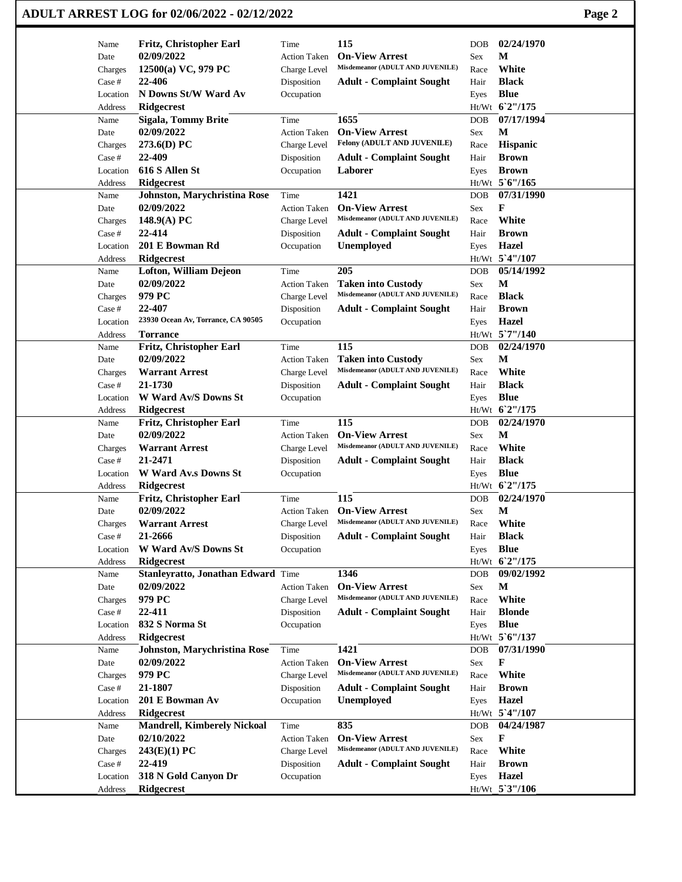| Name              | Fritz, Christopher Earl             | Time                | 115                              | <b>DOB</b> | 02/24/1970     |  |
|-------------------|-------------------------------------|---------------------|----------------------------------|------------|----------------|--|
| Date              | 02/09/2022                          | <b>Action Taken</b> | <b>On-View Arrest</b>            | Sex        | М              |  |
| Charges           | 12500(a) VC, 979 PC                 | Charge Level        | Misdemeanor (ADULT AND JUVENILE) | Race       | White          |  |
| Case #            | 22-406                              | Disposition         | <b>Adult - Complaint Sought</b>  | Hair       | <b>Black</b>   |  |
| Location          | N Downs St/W Ward Av                | Occupation          |                                  | Eyes       | <b>Blue</b>    |  |
| Address           | <b>Ridgecrest</b>                   |                     |                                  |            | Ht/Wt 62"/175  |  |
| Name              | <b>Sigala, Tommy Brite</b>          | Time                | 1655                             | <b>DOB</b> | 07/17/1994     |  |
| Date              | 02/09/2022                          | <b>Action Taken</b> | <b>On-View Arrest</b>            | Sex        | М              |  |
| Charges           | 273.6(D) PC                         | Charge Level        | Felony (ADULT AND JUVENILE)      | Race       | Hispanic       |  |
| Case #            | 22-409                              | Disposition         | <b>Adult - Complaint Sought</b>  | Hair       | <b>Brown</b>   |  |
| Location          | 616 S Allen St                      | Occupation          | Laborer                          | Eyes       | <b>Brown</b>   |  |
| Address           | <b>Ridgecrest</b>                   |                     |                                  |            | Ht/Wt 5'6"/165 |  |
| Name              | <b>Johnston, Marychristina Rose</b> | Time                | 1421                             | <b>DOB</b> | 07/31/1990     |  |
| Date              | 02/09/2022                          | <b>Action Taken</b> | <b>On-View Arrest</b>            | Sex        | F              |  |
|                   | $148.9(A)$ PC                       | Charge Level        | Misdemeanor (ADULT AND JUVENILE) | Race       | White          |  |
| Charges<br>Case # | 22-414                              | Disposition         |                                  |            | <b>Brown</b>   |  |
|                   |                                     |                     | <b>Adult - Complaint Sought</b>  | Hair       |                |  |
| Location          | 201 E Bowman Rd                     | Occupation          | <b>Unemployed</b>                | Eyes       | Hazel          |  |
| Address           | <b>Ridgecrest</b>                   |                     |                                  |            | Ht/Wt 5'4"/107 |  |
| Name              | <b>Lofton, William Dejeon</b>       | Time                | 205                              | <b>DOB</b> | 05/14/1992     |  |
| Date              | 02/09/2022                          | <b>Action Taken</b> | <b>Taken into Custody</b>        | Sex        | M              |  |
| Charges           | 979 PC                              | Charge Level        | Misdemeanor (ADULT AND JUVENILE) | Race       | <b>Black</b>   |  |
| Case #            | 22-407                              | Disposition         | <b>Adult - Complaint Sought</b>  | Hair       | <b>Brown</b>   |  |
| Location          | 23930 Ocean Av, Torrance, CA 90505  | Occupation          |                                  | Eyes       | Hazel          |  |
| Address           | <b>Torrance</b>                     |                     |                                  |            | Ht/Wt 5`7"/140 |  |
| Name              | Fritz, Christopher Earl             | Time                | 115                              | <b>DOB</b> | 02/24/1970     |  |
| Date              | 02/09/2022                          | <b>Action Taken</b> | <b>Taken into Custody</b>        | <b>Sex</b> | M              |  |
| Charges           | <b>Warrant Arrest</b>               | Charge Level        | Misdemeanor (ADULT AND JUVENILE) | Race       | White          |  |
| Case #            | 21-1730                             | Disposition         | <b>Adult - Complaint Sought</b>  | Hair       | <b>Black</b>   |  |
| Location          | W Ward Av/S Downs St                | Occupation          |                                  | Eyes       | <b>Blue</b>    |  |
| Address           | <b>Ridgecrest</b>                   |                     |                                  |            | Ht/Wt 62"/175  |  |
| Name              | Fritz, Christopher Earl             | Time                | 115                              | <b>DOB</b> | 02/24/1970     |  |
|                   | 02/09/2022                          | <b>Action Taken</b> | <b>On-View Arrest</b>            |            | M              |  |
| Date              |                                     |                     | Misdemeanor (ADULT AND JUVENILE) | Sex        | White          |  |
| Charges           | <b>Warrant Arrest</b>               | Charge Level        |                                  | Race       |                |  |
| Case #            | 21-2471                             | Disposition         | <b>Adult - Complaint Sought</b>  | Hair       | <b>Black</b>   |  |
| Location          | <b>W</b> Ward Av.s Downs St         | Occupation          |                                  | Eyes       | <b>Blue</b>    |  |
| Address           | <b>Ridgecrest</b>                   |                     |                                  |            | Ht/Wt 62"/175  |  |
| Name              | Fritz, Christopher Earl             | Time                | 115                              | <b>DOB</b> | 02/24/1970     |  |
| Date              | 02/09/2022                          | Action Taken        | <b>On-View Arrest</b>            | Sex        | $\mathbf{M}$   |  |
| Charges           | <b>Warrant Arrest</b>               | Charge Level        | Misdemeanor (ADULT AND JUVENILE) | Race       | White          |  |
| Case #            | 21-2666                             | Disposition         | <b>Adult - Complaint Sought</b>  | Hair       | <b>Black</b>   |  |
| Location          | W Ward Av/S Downs St                | Occupation          |                                  | Eyes       | <b>Blue</b>    |  |
| Address           | <b>Ridgecrest</b>                   |                     |                                  |            | Ht/Wt 62"/175  |  |
| Name              | Stanleyratto, Jonathan Edward Time  |                     | 1346                             | <b>DOB</b> | 09/02/1992     |  |
| Date              | 02/09/2022                          | <b>Action Taken</b> | <b>On-View Arrest</b>            | Sex        | M              |  |
| Charges           | 979 PC                              | Charge Level        | Misdemeanor (ADULT AND JUVENILE) | Race       | White          |  |
| Case #            | 22-411                              | Disposition         | <b>Adult - Complaint Sought</b>  | Hair       | <b>Blonde</b>  |  |
| Location          | 832 S Norma St                      |                     |                                  |            | <b>Blue</b>    |  |
|                   |                                     | Occupation          |                                  | Eyes       |                |  |
| Address           | Ridgecrest                          |                     |                                  |            | Ht/Wt 5'6"/137 |  |
| Name              | Johnston, Marychristina Rose        | Time                | 1421                             | DOB        | 07/31/1990     |  |
| Date              | 02/09/2022                          | <b>Action Taken</b> | <b>On-View Arrest</b>            | <b>Sex</b> | F              |  |
| Charges           | 979 PC                              | Charge Level        | Misdemeanor (ADULT AND JUVENILE) | Race       | White          |  |
| Case #            | 21-1807                             | Disposition         | <b>Adult - Complaint Sought</b>  | Hair       | <b>Brown</b>   |  |
| Location          | 201 E Bowman Av                     | Occupation          | <b>Unemployed</b>                | Eyes       | <b>Hazel</b>   |  |
| Address           | <b>Ridgecrest</b>                   |                     |                                  |            | Ht/Wt 5'4"/107 |  |
| Name              | <b>Mandrell, Kimberely Nickoal</b>  | Time                | 835                              | <b>DOB</b> | 04/24/1987     |  |
| Date              | 02/10/2022                          | <b>Action Taken</b> | <b>On-View Arrest</b>            | Sex        | F              |  |
| Charges           | 243(E)(1) PC                        | Charge Level        | Misdemeanor (ADULT AND JUVENILE) | Race       | White          |  |
| Case #            | 22-419                              | Disposition         | <b>Adult - Complaint Sought</b>  | Hair       | <b>Brown</b>   |  |
| Location          | 318 N Gold Canyon Dr                | Occupation          |                                  | Eyes       | Hazel          |  |
|                   | <b>Ridgecrest</b>                   |                     |                                  |            | Ht/Wt_5`3"/106 |  |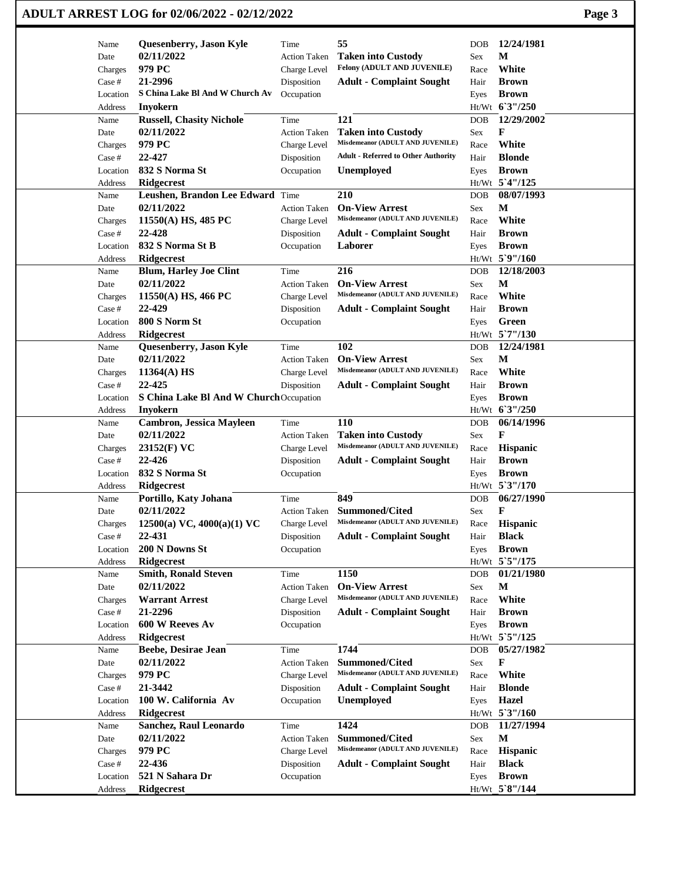|                     | ADULT ARREST LOG for 02/06/2022 - 02/12/2022 |                             |                                                           |            |                                | Page 3 |
|---------------------|----------------------------------------------|-----------------------------|-----------------------------------------------------------|------------|--------------------------------|--------|
| Name                | Quesenberry, Jason Kyle                      | Time                        | 55                                                        | DOB        | 12/24/1981                     |        |
| Date                | 02/11/2022                                   | <b>Action Taken</b>         | <b>Taken into Custody</b>                                 | Sex        | М                              |        |
| Charges             | 979 PC                                       | Charge Level                | Felony (ADULT AND JUVENILE)                               | Race       | White                          |        |
| Case #              | 21-2996                                      | Disposition                 | <b>Adult - Complaint Sought</b>                           | Hair       | <b>Brown</b>                   |        |
| Location            | S China Lake Bl And W Church Av              | Occupation                  |                                                           | Eyes       | <b>Brown</b>                   |        |
| Address             | Inyokern                                     |                             |                                                           |            | Ht/Wt 6'3"/250                 |        |
| Name                | <b>Russell, Chasity Nichole</b>              | Time                        | 121                                                       | DOB        | 12/29/2002                     |        |
| Date                | 02/11/2022                                   | <b>Action Taken</b>         | <b>Taken into Custody</b>                                 | Sex        | F                              |        |
| Charges             | 979 PC                                       | Charge Level                | Misdemeanor (ADULT AND JUVENILE)                          | Race       | White                          |        |
| Case #              | 22-427                                       | Disposition                 | <b>Adult - Referred to Other Authority</b>                | Hair       | <b>Blonde</b>                  |        |
| Location            | 832 S Norma St                               | Occupation                  | <b>Unemployed</b>                                         | Eyes       | <b>Brown</b>                   |        |
| Address             | <b>Ridgecrest</b>                            |                             |                                                           |            | Ht/Wt 5'4"/125                 |        |
| Name                | Leushen, Brandon Lee Edward Time             |                             | 210                                                       | DOB        | 08/07/1993                     |        |
| Date                | 02/11/2022                                   | <b>Action Taken</b>         | <b>On-View Arrest</b><br>Misdemeanor (ADULT AND JUVENILE) | Sex        | М                              |        |
| Charges             | 11550(A) HS, 485 PC                          | Charge Level                |                                                           | Race       | White                          |        |
| Case #              | 22-428                                       | Disposition                 | <b>Adult - Complaint Sought</b>                           | Hair       | <b>Brown</b>                   |        |
| Location            | 832 S Norma St B                             | Occupation                  | Laborer                                                   | Eyes       | <b>Brown</b><br>Ht/Wt 5`9"/160 |        |
| Address             | <b>Ridgecrest</b>                            |                             |                                                           |            | 12/18/2003                     |        |
| Name<br>Date        | <b>Blum, Harley Joe Clint</b><br>02/11/2022  | Time<br><b>Action Taken</b> | 216<br><b>On-View Arrest</b>                              | DOB<br>Sex | М                              |        |
|                     |                                              |                             | Misdemeanor (ADULT AND JUVENILE)                          | Race       | White                          |        |
| Charges<br>Case #   | $11550(A)$ HS, 466 PC<br>22-429              | Charge Level<br>Disposition | <b>Adult - Complaint Sought</b>                           | Hair       | <b>Brown</b>                   |        |
| Location            | 800 S Norm St                                | Occupation                  |                                                           | Eyes       | Green                          |        |
| Address             | Ridgecrest                                   |                             |                                                           |            | Ht/Wt 5`7"/130                 |        |
| Name                | Quesenberry, Jason Kyle                      | Time                        | 102                                                       | DOB        | 12/24/1981                     |        |
| Date                | 02/11/2022                                   | <b>Action Taken</b>         | <b>On-View Arrest</b>                                     | Sex        | M                              |        |
| Charges             | $11364(A)$ HS                                | Charge Level                | Misdemeanor (ADULT AND JUVENILE)                          | Race       | White                          |        |
| Case #              | 22-425                                       | Disposition                 | <b>Adult - Complaint Sought</b>                           | Hair       | <b>Brown</b>                   |        |
| Location            | S China Lake Bl And W ChurchOccupation       |                             |                                                           | Eyes       | <b>Brown</b>                   |        |
| Address             | <b>Inyokern</b>                              |                             |                                                           |            | Ht/Wt 6'3"/250                 |        |
| Name                | <b>Cambron, Jessica Mayleen</b>              | Time                        | <b>110</b>                                                | DOB        | 06/14/1996                     |        |
| Date                | 02/11/2022                                   | <b>Action Taken</b>         | <b>Taken into Custody</b>                                 | Sex        | F                              |        |
| Charges             | 23152(F) VC                                  | Charge Level                | Misdemeanor (ADULT AND JUVENILE)                          | Race       | Hispanic                       |        |
| Case #              | 22-426                                       | Disposition                 | <b>Adult - Complaint Sought</b>                           | Hair       | <b>Brown</b>                   |        |
| Location            | 832 S Norma St                               | Occupation                  |                                                           | Eyes       | <b>Brown</b>                   |        |
| Address             | <b>Ridgecrest</b>                            |                             |                                                           |            | Ht/Wt 5'3"/170                 |        |
| Name                | Portillo, Katy Johana                        | Time                        | 849                                                       | DOB        | 06/27/1990                     |        |
| Date                | 02/11/2022                                   | Action Taken                | Summoned/Cited                                            | Sex        | F                              |        |
| Charges             | 12500(a) VC, $4000(a)(1)$ VC                 | Charge Level                | Misdemeanor (ADULT AND JUVENILE)                          | Race       | Hispanic                       |        |
| Case #              | 22-431                                       | Disposition                 | <b>Adult - Complaint Sought</b>                           | Hair       | <b>Black</b>                   |        |
| Location<br>Address | 200 N Downs St<br><b>Ridgecrest</b>          | Occupation                  |                                                           | Eyes       | <b>Brown</b><br>Ht/Wt 5`5"/175 |        |
| Name                | <b>Smith, Ronald Steven</b>                  | Time                        | 1150                                                      | DOB        | 01/21/1980                     |        |
| Date                | 02/11/2022                                   | <b>Action Taken</b>         | <b>On-View Arrest</b>                                     | Sex        | M                              |        |
| Charges             | <b>Warrant Arrest</b>                        | Charge Level                | Misdemeanor (ADULT AND JUVENILE)                          | Race       | White                          |        |
| Case #              | 21-2296                                      | Disposition                 | <b>Adult - Complaint Sought</b>                           | Hair       | <b>Brown</b>                   |        |
| Location            | 600 W Reeves Av                              | Occupation                  |                                                           | Eyes       | <b>Brown</b>                   |        |
| Address             | Ridgecrest                                   |                             |                                                           |            | Ht/Wt 5`5"/125                 |        |
| Name                | Beebe, Desirae Jean                          | Time                        | 1744                                                      | DOB        | 05/27/1982                     |        |
| Date                | 02/11/2022                                   | <b>Action Taken</b>         | <b>Summoned/Cited</b>                                     | Sex        | F                              |        |
| Charges             | 979 PC                                       | Charge Level                | Misdemeanor (ADULT AND JUVENILE)                          | Race       | White                          |        |
| Case #              | 21-3442                                      | Disposition                 | <b>Adult - Complaint Sought</b>                           | Hair       | <b>Blonde</b>                  |        |
| Location            | 100 W. California Av                         | Occupation                  | Unemployed                                                | Eyes       | <b>Hazel</b>                   |        |
| Address             | <b>Ridgecrest</b>                            |                             |                                                           |            | Ht/Wt 5'3"/160                 |        |
| Name                | Sanchez, Raul Leonardo                       | Time                        | 1424                                                      | DOB        | 11/27/1994                     |        |
| Date                | 02/11/2022                                   | <b>Action Taken</b>         | <b>Summoned/Cited</b>                                     | Sex        | $\mathbf{M}$                   |        |
| Charges             | 979 PC                                       | Charge Level                | Misdemeanor (ADULT AND JUVENILE)                          | Race       | Hispanic                       |        |
| Case #              | 22-436                                       | Disposition                 | <b>Adult - Complaint Sought</b>                           | Hair       | <b>Black</b>                   |        |
| Location            | 521 N Sahara Dr                              | Occupation                  |                                                           | Eyes       | <b>Brown</b>                   |        |
| Address             | Ridgecrest                                   |                             |                                                           |            | Ht/Wt 5`8"/144                 |        |

 $\mathbf{I}$